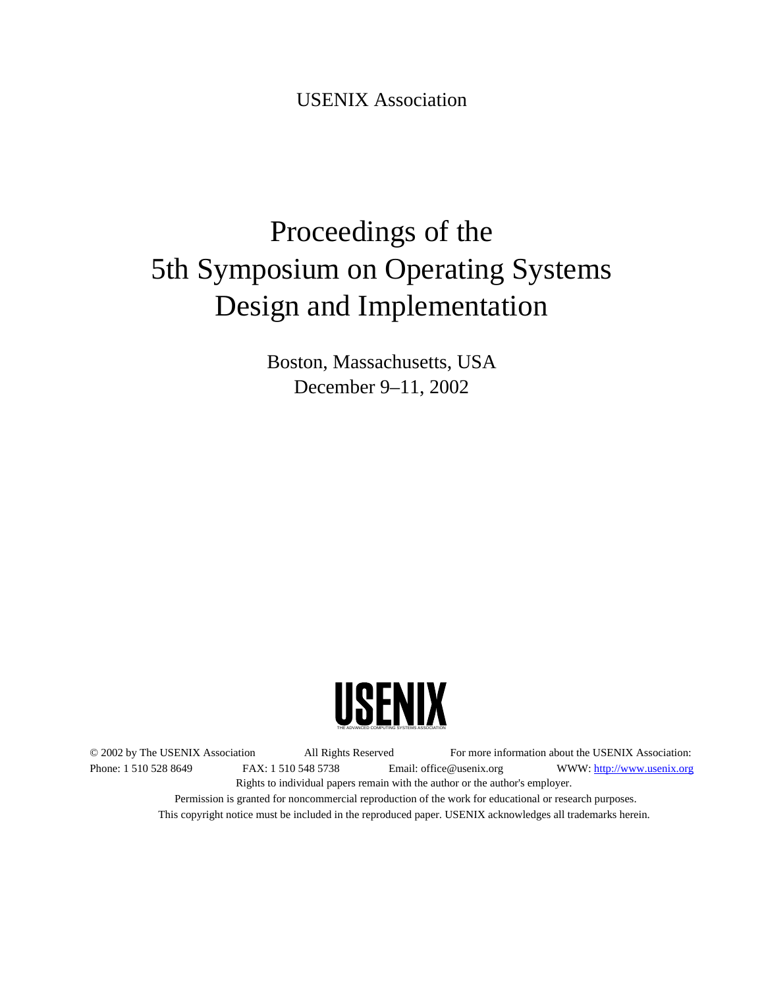USENIX Association

# Proceedings of the 5th Symposium on Operating Systems Design and Implementation

Boston, Massachusetts, USA December 9–11, 2002



© 2002 by The USENIX Association All Rights Reserved For more information about the USENIX Association: Phone: 1 510 528 8649 FAX: 1 510 548 5738 Email: office@usenix.org WWW: http://www.usenix.org Rights to individual papers remain with the author or the author's employer. Permission is granted for noncommercial reproduction of the work for educational or research purposes. This copyright notice must be included in the reproduced paper. USENIX acknowledges all trademarks herein.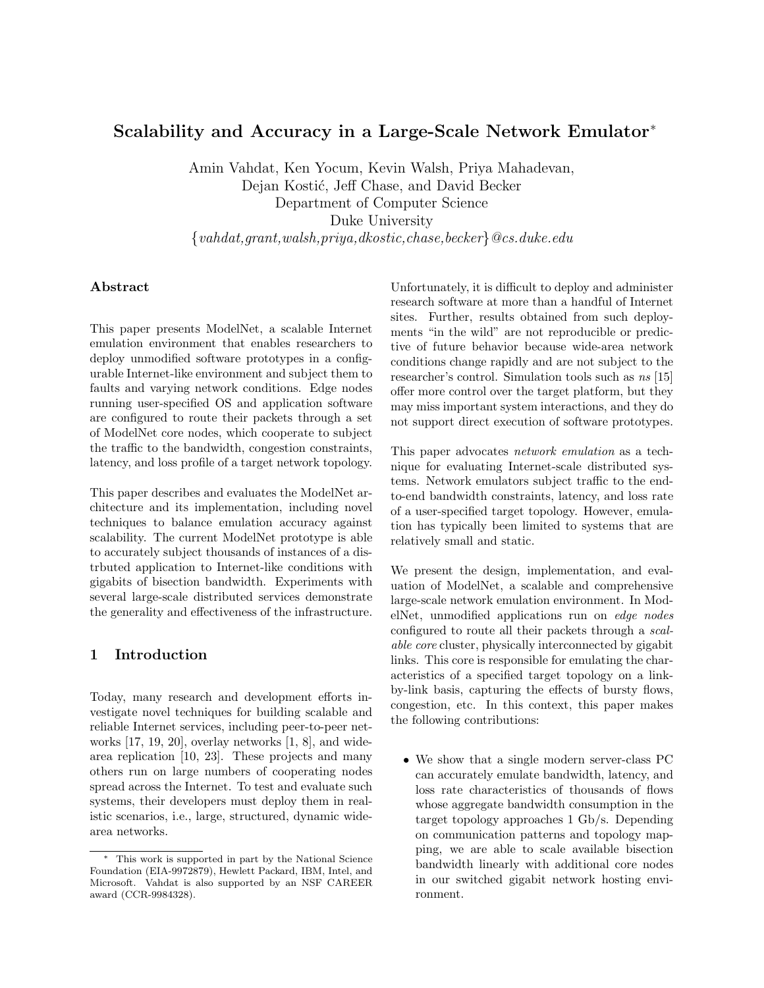# Scalability and Accuracy in a Large-Scale Network Emulator<sup>∗</sup>

Amin Vahdat, Ken Yocum, Kevin Walsh, Priya Mahadevan, Dejan Kostić, Jeff Chase, and David Becker Department of Computer Science Duke University {vahdat,grant,walsh,priya,dkostic,chase,becker}@cs.duke.edu

## Abstract

This paper presents ModelNet, a scalable Internet emulation environment that enables researchers to deploy unmodified software prototypes in a configurable Internet-like environment and subject them to faults and varying network conditions. Edge nodes running user-specified OS and application software are configured to route their packets through a set of ModelNet core nodes, which cooperate to subject the traffic to the bandwidth, congestion constraints, latency, and loss profile of a target network topology.

This paper describes and evaluates the ModelNet architecture and its implementation, including novel techniques to balance emulation accuracy against scalability. The current ModelNet prototype is able to accurately subject thousands of instances of a distrbuted application to Internet-like conditions with gigabits of bisection bandwidth. Experiments with several large-scale distributed services demonstrate the generality and effectiveness of the infrastructure.

# 1 Introduction

Today, many research and development efforts investigate novel techniques for building scalable and reliable Internet services, including peer-to-peer networks [17, 19, 20], overlay networks [1, 8], and widearea replication [10, 23]. These projects and many others run on large numbers of cooperating nodes spread across the Internet. To test and evaluate such systems, their developers must deploy them in realistic scenarios, i.e., large, structured, dynamic widearea networks.

Unfortunately, it is difficult to deploy and administer research software at more than a handful of Internet sites. Further, results obtained from such deployments "in the wild" are not reproducible or predictive of future behavior because wide-area network conditions change rapidly and are not subject to the researcher's control. Simulation tools such as  $ns$  [15] offer more control over the target platform, but they may miss important system interactions, and they do not support direct execution of software prototypes.

This paper advocates network emulation as a technique for evaluating Internet-scale distributed systems. Network emulators subject traffic to the endto-end bandwidth constraints, latency, and loss rate of a user-specified target topology. However, emulation has typically been limited to systems that are relatively small and static.

We present the design, implementation, and evaluation of ModelNet, a scalable and comprehensive large-scale network emulation environment. In ModelNet, unmodified applications run on edge nodes configured to route all their packets through a scalable core cluster, physically interconnected by gigabit links. This core is responsible for emulating the characteristics of a specified target topology on a linkby-link basis, capturing the effects of bursty flows, congestion, etc. In this context, this paper makes the following contributions:

• We show that a single modern server-class PC can accurately emulate bandwidth, latency, and loss rate characteristics of thousands of flows whose aggregate bandwidth consumption in the target topology approaches 1 Gb/s. Depending on communication patterns and topology mapping, we are able to scale available bisection bandwidth linearly with additional core nodes in our switched gigabit network hosting environment.

<sup>∗</sup> This work is supported in part by the National Science Foundation (EIA-9972879), Hewlett Packard, IBM, Intel, and Microsoft. Vahdat is also supported by an NSF CAREER award (CCR-9984328).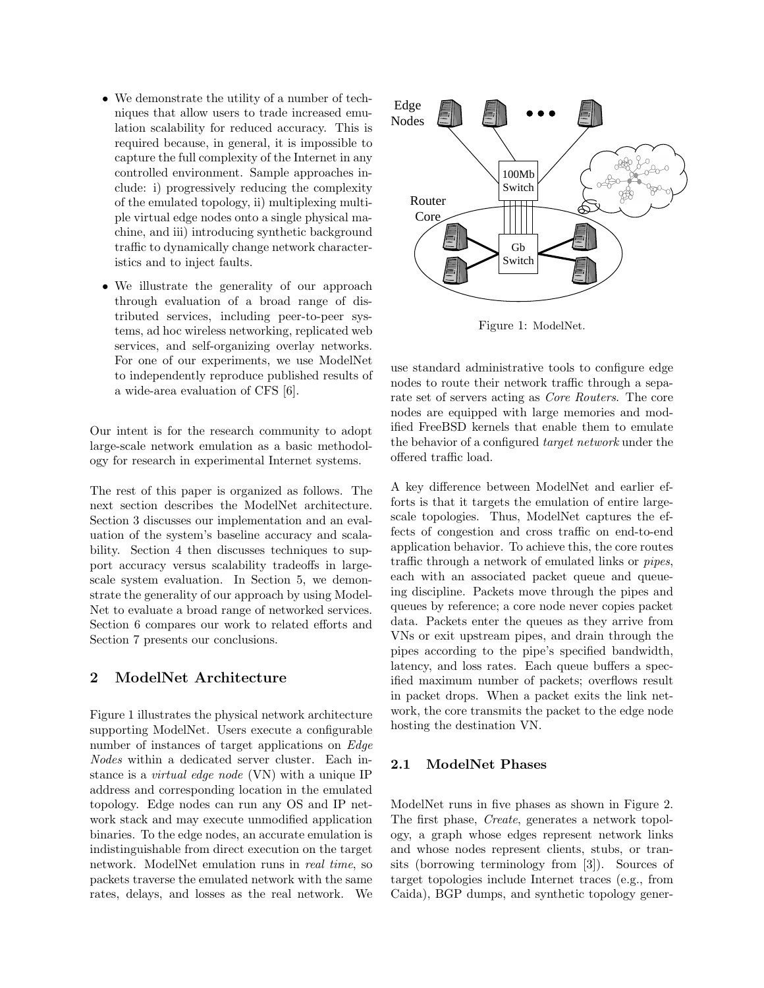- We demonstrate the utility of a number of techniques that allow users to trade increased emulation scalability for reduced accuracy. This is required because, in general, it is impossible to capture the full complexity of the Internet in any controlled environment. Sample approaches include: i) progressively reducing the complexity of the emulated topology, ii) multiplexing multiple virtual edge nodes onto a single physical machine, and iii) introducing synthetic background traffic to dynamically change network characteristics and to inject faults.
- We illustrate the generality of our approach through evaluation of a broad range of distributed services, including peer-to-peer systems, ad hoc wireless networking, replicated web services, and self-organizing overlay networks. For one of our experiments, we use ModelNet to independently reproduce published results of a wide-area evaluation of CFS [6].

Our intent is for the research community to adopt large-scale network emulation as a basic methodology for research in experimental Internet systems.

The rest of this paper is organized as follows. The next section describes the ModelNet architecture. Section 3 discusses our implementation and an evaluation of the system's baseline accuracy and scalability. Section 4 then discusses techniques to support accuracy versus scalability tradeoffs in largescale system evaluation. In Section 5, we demonstrate the generality of our approach by using Model-Net to evaluate a broad range of networked services. Section 6 compares our work to related efforts and Section 7 presents our conclusions.

# 2 ModelNet Architecture

Figure 1 illustrates the physical network architecture supporting ModelNet. Users execute a configurable number of instances of target applications on Edge Nodes within a dedicated server cluster. Each instance is a virtual edge node (VN) with a unique IP address and corresponding location in the emulated topology. Edge nodes can run any OS and IP network stack and may execute unmodified application binaries. To the edge nodes, an accurate emulation is indistinguishable from direct execution on the target network. ModelNet emulation runs in real time, so packets traverse the emulated network with the same rates, delays, and losses as the real network. We



Figure 1: ModelNet.

use standard administrative tools to configure edge nodes to route their network traffic through a separate set of servers acting as Core Routers. The core nodes are equipped with large memories and modified FreeBSD kernels that enable them to emulate the behavior of a configured target network under the offered traffic load.

A key difference between ModelNet and earlier efforts is that it targets the emulation of entire largescale topologies. Thus, ModelNet captures the effects of congestion and cross traffic on end-to-end application behavior. To achieve this, the core routes traffic through a network of emulated links or pipes, each with an associated packet queue and queueing discipline. Packets move through the pipes and queues by reference; a core node never copies packet data. Packets enter the queues as they arrive from VNs or exit upstream pipes, and drain through the pipes according to the pipe's specified bandwidth, latency, and loss rates. Each queue buffers a specified maximum number of packets; overflows result in packet drops. When a packet exits the link network, the core transmits the packet to the edge node hosting the destination VN.

# 2.1 ModelNet Phases

ModelNet runs in five phases as shown in Figure 2. The first phase, Create, generates a network topology, a graph whose edges represent network links and whose nodes represent clients, stubs, or transits (borrowing terminology from [3]). Sources of target topologies include Internet traces (e.g., from Caida), BGP dumps, and synthetic topology gener-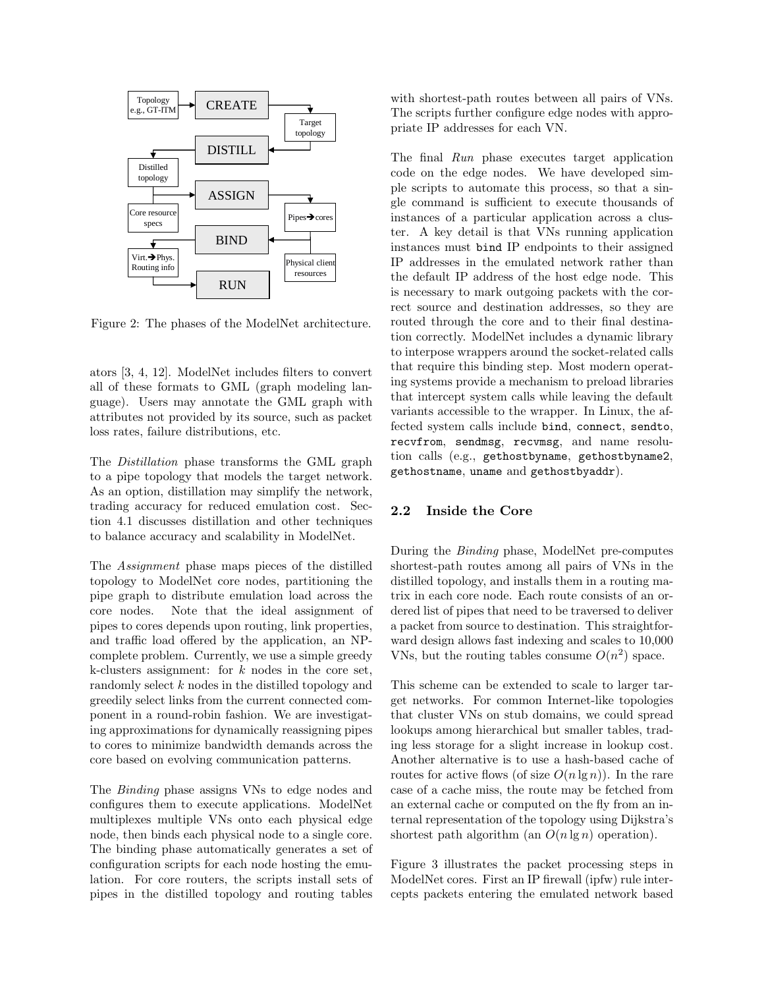

Figure 2: The phases of the ModelNet architecture.

ators [3, 4, 12]. ModelNet includes filters to convert all of these formats to GML (graph modeling language). Users may annotate the GML graph with attributes not provided by its source, such as packet loss rates, failure distributions, etc.

The Distillation phase transforms the GML graph to a pipe topology that models the target network. As an option, distillation may simplify the network, trading accuracy for reduced emulation cost. Section 4.1 discusses distillation and other techniques to balance accuracy and scalability in ModelNet.

The Assignment phase maps pieces of the distilled topology to ModelNet core nodes, partitioning the pipe graph to distribute emulation load across the core nodes. Note that the ideal assignment of pipes to cores depends upon routing, link properties, and traffic load offered by the application, an NPcomplete problem. Currently, we use a simple greedy k-clusters assignment: for  $k$  nodes in the core set, randomly select k nodes in the distilled topology and greedily select links from the current connected component in a round-robin fashion. We are investigating approximations for dynamically reassigning pipes to cores to minimize bandwidth demands across the core based on evolving communication patterns.

The Binding phase assigns VNs to edge nodes and configures them to execute applications. ModelNet multiplexes multiple VNs onto each physical edge node, then binds each physical node to a single core. The binding phase automatically generates a set of configuration scripts for each node hosting the emulation. For core routers, the scripts install sets of pipes in the distilled topology and routing tables with shortest-path routes between all pairs of VNs. The scripts further configure edge nodes with appropriate IP addresses for each VN.

The final Run phase executes target application code on the edge nodes. We have developed simple scripts to automate this process, so that a single command is sufficient to execute thousands of instances of a particular application across a cluster. A key detail is that VNs running application instances must bind IP endpoints to their assigned IP addresses in the emulated network rather than the default IP address of the host edge node. This is necessary to mark outgoing packets with the correct source and destination addresses, so they are routed through the core and to their final destination correctly. ModelNet includes a dynamic library to interpose wrappers around the socket-related calls that require this binding step. Most modern operating systems provide a mechanism to preload libraries that intercept system calls while leaving the default variants accessible to the wrapper. In Linux, the affected system calls include bind, connect, sendto, recvfrom, sendmsg, recvmsg, and name resolution calls (e.g., gethostbyname, gethostbyname2, gethostname, uname and gethostbyaddr).

## 2.2 Inside the Core

During the Binding phase, ModelNet pre-computes shortest-path routes among all pairs of VNs in the distilled topology, and installs them in a routing matrix in each core node. Each route consists of an ordered list of pipes that need to be traversed to deliver a packet from source to destination. This straightforward design allows fast indexing and scales to 10,000 VNs, but the routing tables consume  $O(n^2)$  space.

This scheme can be extended to scale to larger target networks. For common Internet-like topologies that cluster VNs on stub domains, we could spread lookups among hierarchical but smaller tables, trading less storage for a slight increase in lookup cost. Another alternative is to use a hash-based cache of routes for active flows (of size  $O(n \lg n)$ ). In the rare case of a cache miss, the route may be fetched from an external cache or computed on the fly from an internal representation of the topology using Dijkstra's shortest path algorithm (an  $O(n \lg n)$  operation).

Figure 3 illustrates the packet processing steps in ModelNet cores. First an IP firewall (ipfw) rule intercepts packets entering the emulated network based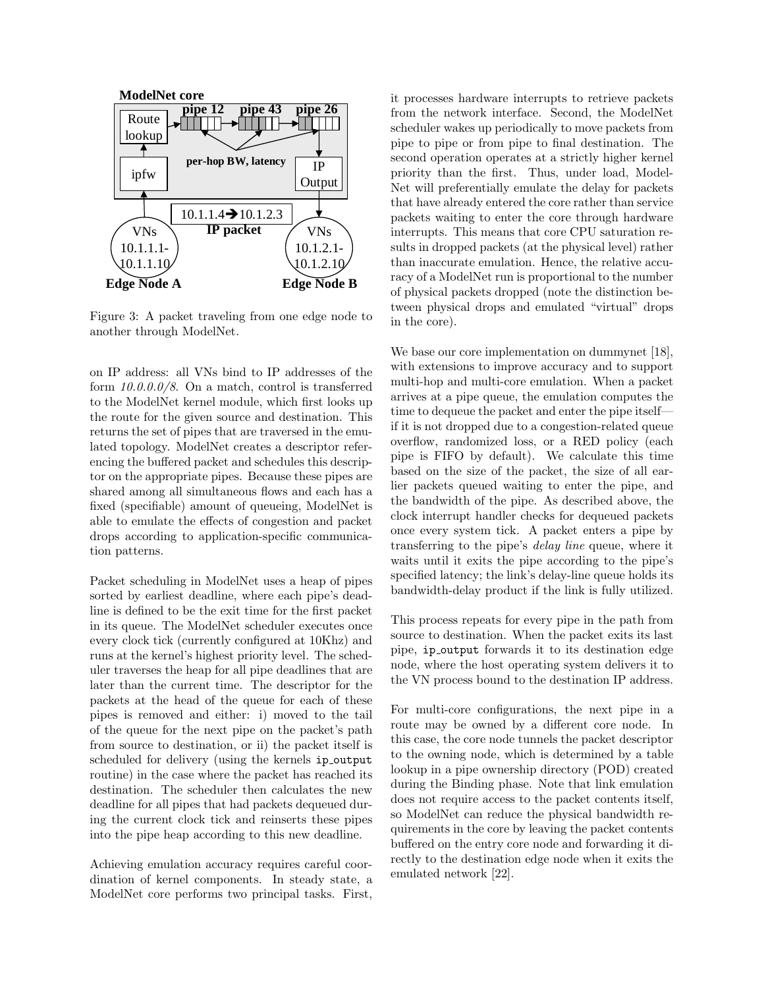

Figure 3: A packet traveling from one edge node to another through ModelNet.

on IP address: all VNs bind to IP addresses of the form 10.0.0.0/8. On a match, control is transferred to the ModelNet kernel module, which first looks up the route for the given source and destination. This returns the set of pipes that are traversed in the emulated topology. ModelNet creates a descriptor referencing the buffered packet and schedules this descriptor on the appropriate pipes. Because these pipes are shared among all simultaneous flows and each has a fixed (specifiable) amount of queueing, ModelNet is able to emulate the effects of congestion and packet drops according to application-specific communication patterns.

Packet scheduling in ModelNet uses a heap of pipes sorted by earliest deadline, where each pipe's deadline is defined to be the exit time for the first packet in its queue. The ModelNet scheduler executes once every clock tick (currently configured at 10Khz) and runs at the kernel's highest priority level. The scheduler traverses the heap for all pipe deadlines that are later than the current time. The descriptor for the packets at the head of the queue for each of these pipes is removed and either: i) moved to the tail of the queue for the next pipe on the packet's path from source to destination, or ii) the packet itself is scheduled for delivery (using the kernels ip output routine) in the case where the packet has reached its destination. The scheduler then calculates the new deadline for all pipes that had packets dequeued during the current clock tick and reinserts these pipes into the pipe heap according to this new deadline.

Achieving emulation accuracy requires careful coordination of kernel components. In steady state, a ModelNet core performs two principal tasks. First,

it processes hardware interrupts to retrieve packets from the network interface. Second, the ModelNet scheduler wakes up periodically to move packets from pipe to pipe or from pipe to final destination. The second operation operates at a strictly higher kernel priority than the first. Thus, under load, Model-Net will preferentially emulate the delay for packets that have already entered the core rather than service packets waiting to enter the core through hardware interrupts. This means that core CPU saturation results in dropped packets (at the physical level) rather than inaccurate emulation. Hence, the relative accuracy of a ModelNet run is proportional to the number of physical packets dropped (note the distinction between physical drops and emulated "virtual" drops in the core).

We base our core implementation on dummynet [18], with extensions to improve accuracy and to support multi-hop and multi-core emulation. When a packet arrives at a pipe queue, the emulation computes the time to dequeue the packet and enter the pipe itself if it is not dropped due to a congestion-related queue overflow, randomized loss, or a RED policy (each pipe is FIFO by default). We calculate this time based on the size of the packet, the size of all earlier packets queued waiting to enter the pipe, and the bandwidth of the pipe. As described above, the clock interrupt handler checks for dequeued packets once every system tick. A packet enters a pipe by transferring to the pipe's delay line queue, where it waits until it exits the pipe according to the pipe's specified latency; the link's delay-line queue holds its bandwidth-delay product if the link is fully utilized.

This process repeats for every pipe in the path from source to destination. When the packet exits its last pipe, ip output forwards it to its destination edge node, where the host operating system delivers it to the VN process bound to the destination IP address.

For multi-core configurations, the next pipe in a route may be owned by a different core node. In this case, the core node tunnels the packet descriptor to the owning node, which is determined by a table lookup in a pipe ownership directory (POD) created during the Binding phase. Note that link emulation does not require access to the packet contents itself, so ModelNet can reduce the physical bandwidth requirements in the core by leaving the packet contents buffered on the entry core node and forwarding it directly to the destination edge node when it exits the emulated network [22].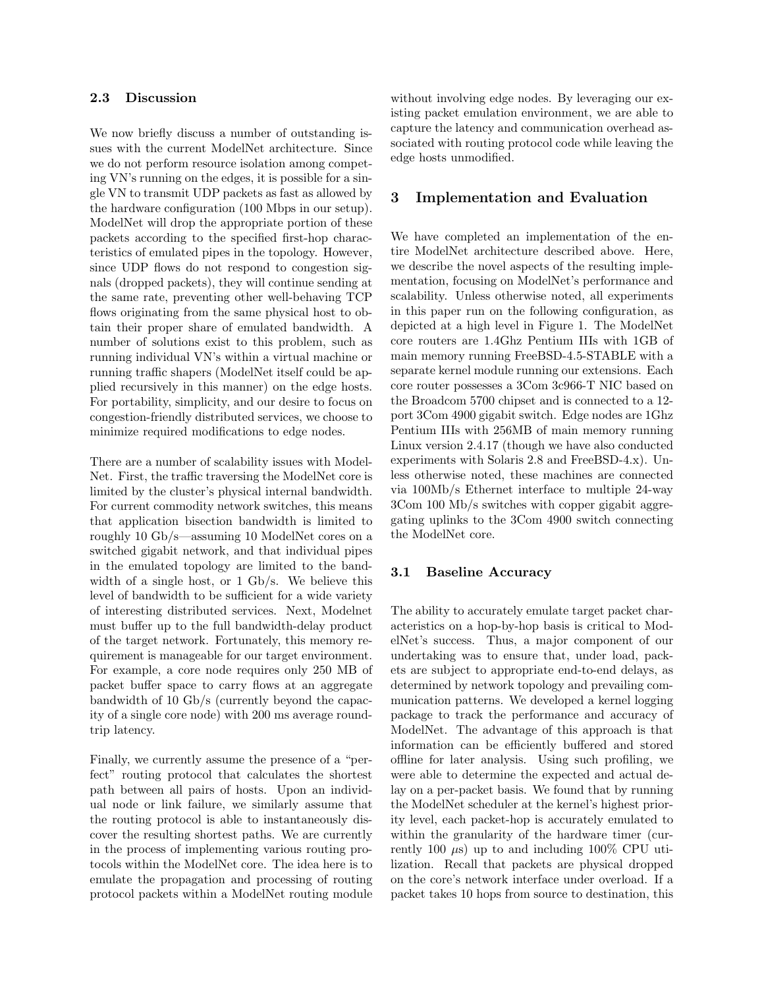# 2.3 Discussion

We now briefly discuss a number of outstanding issues with the current ModelNet architecture. Since we do not perform resource isolation among competing VN's running on the edges, it is possible for a single VN to transmit UDP packets as fast as allowed by the hardware configuration (100 Mbps in our setup). ModelNet will drop the appropriate portion of these packets according to the specified first-hop characteristics of emulated pipes in the topology. However, since UDP flows do not respond to congestion signals (dropped packets), they will continue sending at the same rate, preventing other well-behaving TCP flows originating from the same physical host to obtain their proper share of emulated bandwidth. A number of solutions exist to this problem, such as running individual VN's within a virtual machine or running traffic shapers (ModelNet itself could be applied recursively in this manner) on the edge hosts. For portability, simplicity, and our desire to focus on congestion-friendly distributed services, we choose to minimize required modifications to edge nodes.

There are a number of scalability issues with Model-Net. First, the traffic traversing the ModelNet core is limited by the cluster's physical internal bandwidth. For current commodity network switches, this means that application bisection bandwidth is limited to roughly 10 Gb/s—assuming 10 ModelNet cores on a switched gigabit network, and that individual pipes in the emulated topology are limited to the bandwidth of a single host, or 1 Gb/s. We believe this level of bandwidth to be sufficient for a wide variety of interesting distributed services. Next, Modelnet must buffer up to the full bandwidth-delay product of the target network. Fortunately, this memory requirement is manageable for our target environment. For example, a core node requires only 250 MB of packet buffer space to carry flows at an aggregate bandwidth of 10 Gb/s (currently beyond the capacity of a single core node) with 200 ms average roundtrip latency.

Finally, we currently assume the presence of a "perfect" routing protocol that calculates the shortest path between all pairs of hosts. Upon an individual node or link failure, we similarly assume that the routing protocol is able to instantaneously discover the resulting shortest paths. We are currently in the process of implementing various routing protocols within the ModelNet core. The idea here is to emulate the propagation and processing of routing protocol packets within a ModelNet routing module without involving edge nodes. By leveraging our existing packet emulation environment, we are able to capture the latency and communication overhead associated with routing protocol code while leaving the edge hosts unmodified.

## 3 Implementation and Evaluation

We have completed an implementation of the entire ModelNet architecture described above. Here, we describe the novel aspects of the resulting implementation, focusing on ModelNet's performance and scalability. Unless otherwise noted, all experiments in this paper run on the following configuration, as depicted at a high level in Figure 1. The ModelNet core routers are 1.4Ghz Pentium IIIs with 1GB of main memory running FreeBSD-4.5-STABLE with a separate kernel module running our extensions. Each core router possesses a 3Com 3c966-T NIC based on the Broadcom 5700 chipset and is connected to a 12 port 3Com 4900 gigabit switch. Edge nodes are 1Ghz Pentium IIIs with 256MB of main memory running Linux version 2.4.17 (though we have also conducted experiments with Solaris 2.8 and FreeBSD-4.x). Unless otherwise noted, these machines are connected via 100Mb/s Ethernet interface to multiple 24-way 3Com 100 Mb/s switches with copper gigabit aggregating uplinks to the 3Com 4900 switch connecting the ModelNet core.

#### 3.1 Baseline Accuracy

The ability to accurately emulate target packet characteristics on a hop-by-hop basis is critical to ModelNet's success. Thus, a major component of our undertaking was to ensure that, under load, packets are subject to appropriate end-to-end delays, as determined by network topology and prevailing communication patterns. We developed a kernel logging package to track the performance and accuracy of ModelNet. The advantage of this approach is that information can be efficiently buffered and stored offline for later analysis. Using such profiling, we were able to determine the expected and actual delay on a per-packet basis. We found that by running the ModelNet scheduler at the kernel's highest priority level, each packet-hop is accurately emulated to within the granularity of the hardware timer (currently 100  $\mu$ s) up to and including 100% CPU utilization. Recall that packets are physical dropped on the core's network interface under overload. If a packet takes 10 hops from source to destination, this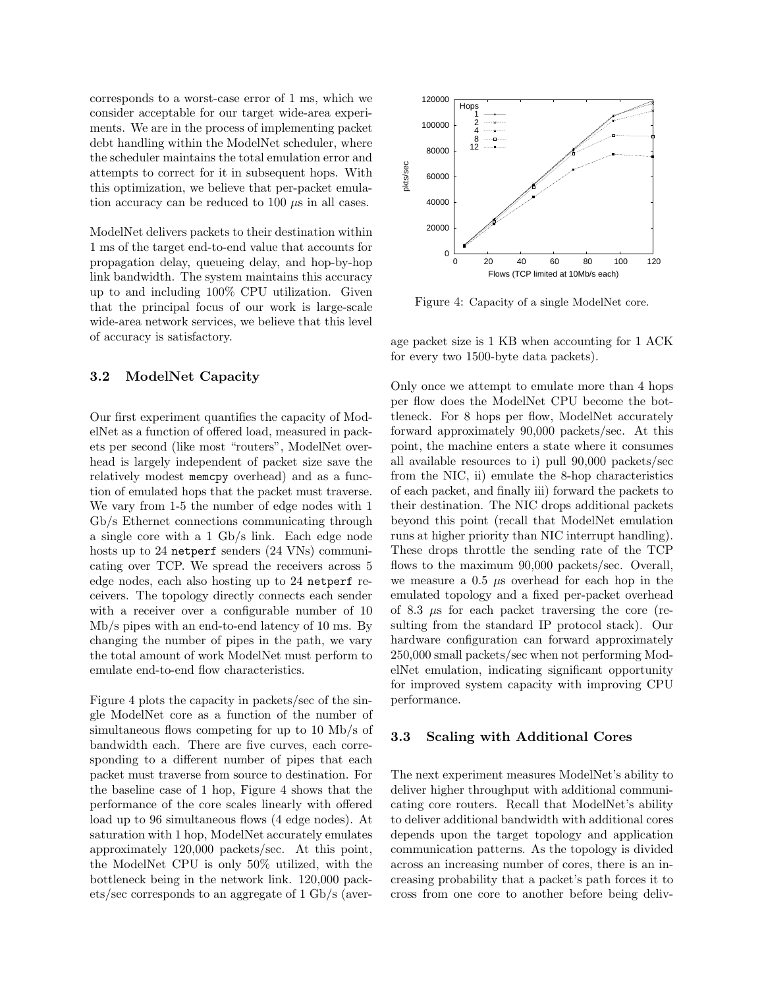corresponds to a worst-case error of 1 ms, which we consider acceptable for our target wide-area experiments. We are in the process of implementing packet debt handling within the ModelNet scheduler, where the scheduler maintains the total emulation error and attempts to correct for it in subsequent hops. With this optimization, we believe that per-packet emulation accuracy can be reduced to  $100 \mu s$  in all cases.

ModelNet delivers packets to their destination within 1 ms of the target end-to-end value that accounts for propagation delay, queueing delay, and hop-by-hop link bandwidth. The system maintains this accuracy up to and including 100% CPU utilization. Given that the principal focus of our work is large-scale wide-area network services, we believe that this level of accuracy is satisfactory.

## 3.2 ModelNet Capacity

Our first experiment quantifies the capacity of ModelNet as a function of offered load, measured in packets per second (like most "routers", ModelNet overhead is largely independent of packet size save the relatively modest memcpy overhead) and as a function of emulated hops that the packet must traverse. We vary from 1-5 the number of edge nodes with 1 Gb/s Ethernet connections communicating through a single core with a 1 Gb/s link. Each edge node hosts up to 24 netperf senders (24 VNs) communicating over TCP. We spread the receivers across 5 edge nodes, each also hosting up to 24 netperf receivers. The topology directly connects each sender with a receiver over a configurable number of 10 Mb/s pipes with an end-to-end latency of 10 ms. By changing the number of pipes in the path, we vary the total amount of work ModelNet must perform to emulate end-to-end flow characteristics.

Figure 4 plots the capacity in packets/sec of the single ModelNet core as a function of the number of simultaneous flows competing for up to 10 Mb/s of bandwidth each. There are five curves, each corresponding to a different number of pipes that each packet must traverse from source to destination. For the baseline case of 1 hop, Figure 4 shows that the performance of the core scales linearly with offered load up to 96 simultaneous flows (4 edge nodes). At saturation with 1 hop, ModelNet accurately emulates approximately 120,000 packets/sec. At this point, the ModelNet CPU is only 50% utilized, with the bottleneck being in the network link. 120,000 packets/sec corresponds to an aggregate of 1 Gb/s (aver-



Figure 4: Capacity of a single ModelNet core.

age packet size is 1 KB when accounting for 1 ACK for every two 1500-byte data packets).

Only once we attempt to emulate more than 4 hops per flow does the ModelNet CPU become the bottleneck. For 8 hops per flow, ModelNet accurately forward approximately 90,000 packets/sec. At this point, the machine enters a state where it consumes all available resources to i) pull 90,000 packets/sec from the NIC, ii) emulate the 8-hop characteristics of each packet, and finally iii) forward the packets to their destination. The NIC drops additional packets beyond this point (recall that ModelNet emulation runs at higher priority than NIC interrupt handling). These drops throttle the sending rate of the TCP flows to the maximum 90,000 packets/sec. Overall, we measure a  $0.5 \mu s$  overhead for each hop in the emulated topology and a fixed per-packet overhead of 8.3  $\mu$ s for each packet traversing the core (resulting from the standard IP protocol stack). Our hardware configuration can forward approximately 250,000 small packets/sec when not performing ModelNet emulation, indicating significant opportunity for improved system capacity with improving CPU performance.

## 3.3 Scaling with Additional Cores

The next experiment measures ModelNet's ability to deliver higher throughput with additional communicating core routers. Recall that ModelNet's ability to deliver additional bandwidth with additional cores depends upon the target topology and application communication patterns. As the topology is divided across an increasing number of cores, there is an increasing probability that a packet's path forces it to cross from one core to another before being deliv-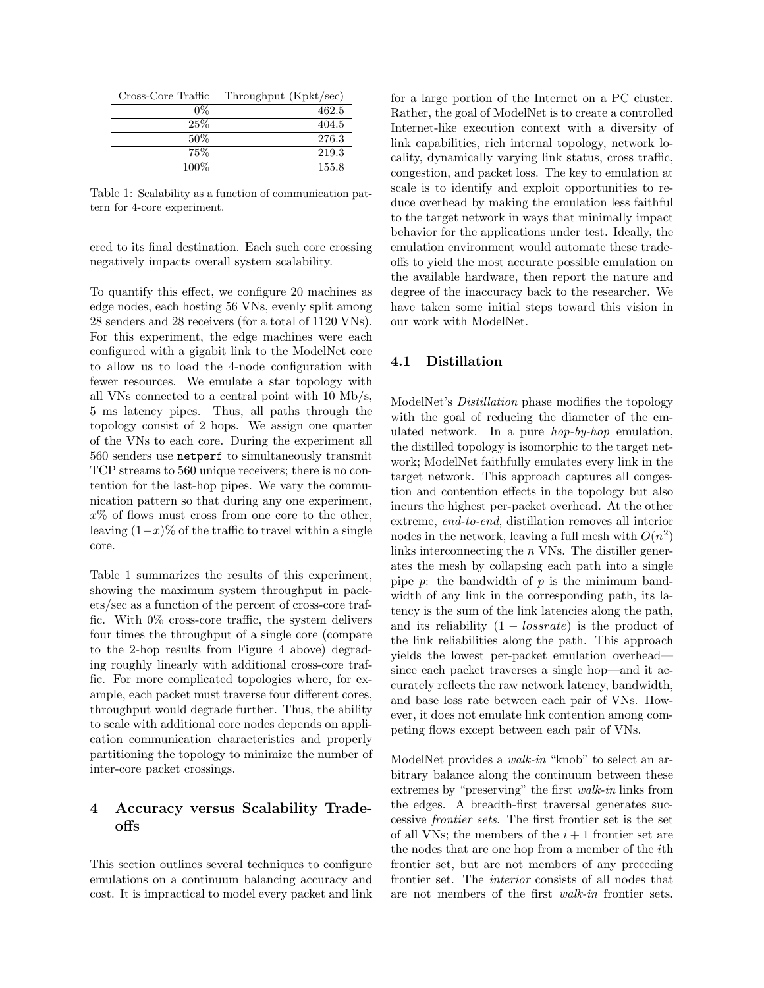| Cross-Core Traffic | Throughput (Kpkt/sec) |
|--------------------|-----------------------|
| 0%                 | 462.5                 |
| 25%                | 404.5                 |
| $50\%$             | 276.3                 |
| 75%                | 219.3                 |
| $100\%$            | 155.8                 |

Table 1: Scalability as a function of communication pattern for 4-core experiment.

ered to its final destination. Each such core crossing negatively impacts overall system scalability.

To quantify this effect, we configure 20 machines as edge nodes, each hosting 56 VNs, evenly split among 28 senders and 28 receivers (for a total of 1120 VNs). For this experiment, the edge machines were each configured with a gigabit link to the ModelNet core to allow us to load the 4-node configuration with fewer resources. We emulate a star topology with all VNs connected to a central point with 10 Mb/s, 5 ms latency pipes. Thus, all paths through the topology consist of 2 hops. We assign one quarter of the VNs to each core. During the experiment all 560 senders use netperf to simultaneously transmit TCP streams to 560 unique receivers; there is no contention for the last-hop pipes. We vary the communication pattern so that during any one experiment,  $x\%$  of flows must cross from one core to the other, leaving  $(1-x)\%$  of the traffic to travel within a single core.

Table 1 summarizes the results of this experiment, showing the maximum system throughput in packets/sec as a function of the percent of cross-core traffic. With 0% cross-core traffic, the system delivers four times the throughput of a single core (compare to the 2-hop results from Figure 4 above) degrading roughly linearly with additional cross-core traffic. For more complicated topologies where, for example, each packet must traverse four different cores, throughput would degrade further. Thus, the ability to scale with additional core nodes depends on application communication characteristics and properly partitioning the topology to minimize the number of inter-core packet crossings.

# 4 Accuracy versus Scalability Tradeoffs

This section outlines several techniques to configure emulations on a continuum balancing accuracy and cost. It is impractical to model every packet and link

for a large portion of the Internet on a PC cluster. Rather, the goal of ModelNet is to create a controlled Internet-like execution context with a diversity of link capabilities, rich internal topology, network locality, dynamically varying link status, cross traffic, congestion, and packet loss. The key to emulation at scale is to identify and exploit opportunities to reduce overhead by making the emulation less faithful to the target network in ways that minimally impact behavior for the applications under test. Ideally, the emulation environment would automate these tradeoffs to yield the most accurate possible emulation on the available hardware, then report the nature and degree of the inaccuracy back to the researcher. We have taken some initial steps toward this vision in our work with ModelNet.

# 4.1 Distillation

ModelNet's Distillation phase modifies the topology with the goal of reducing the diameter of the emulated network. In a pure hop-by-hop emulation, the distilled topology is isomorphic to the target network; ModelNet faithfully emulates every link in the target network. This approach captures all congestion and contention effects in the topology but also incurs the highest per-packet overhead. At the other extreme, end-to-end, distillation removes all interior nodes in the network, leaving a full mesh with  $O(n^2)$ links interconnecting the  $n$  VNs. The distiller generates the mesh by collapsing each path into a single pipe  $p$ : the bandwidth of  $p$  is the minimum bandwidth of any link in the corresponding path, its latency is the sum of the link latencies along the path, and its reliability  $(1 - lossrate)$  is the product of the link reliabilities along the path. This approach yields the lowest per-packet emulation overhead since each packet traverses a single hop—and it accurately reflects the raw network latency, bandwidth, and base loss rate between each pair of VNs. However, it does not emulate link contention among competing flows except between each pair of VNs.

ModelNet provides a *walk-in* "knob" to select an arbitrary balance along the continuum between these extremes by "preserving" the first walk-in links from the edges. A breadth-first traversal generates successive frontier sets. The first frontier set is the set of all VNs; the members of the  $i+1$  frontier set are the nodes that are one hop from a member of the ith frontier set, but are not members of any preceding frontier set. The interior consists of all nodes that are not members of the first walk-in frontier sets.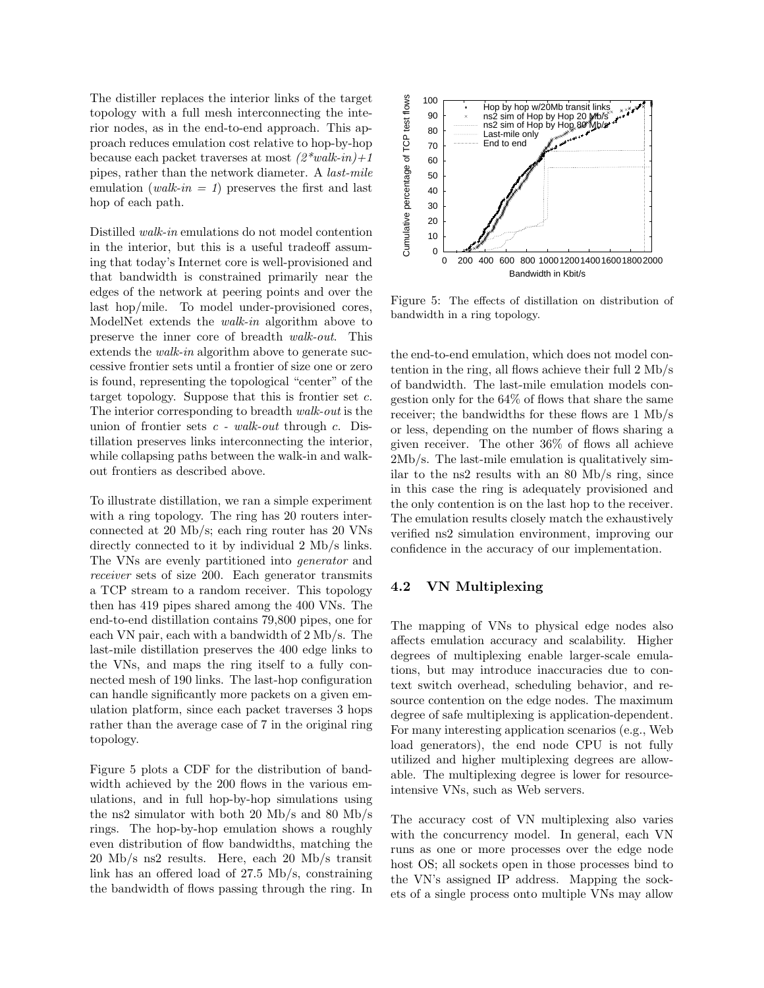The distiller replaces the interior links of the target topology with a full mesh interconnecting the interior nodes, as in the end-to-end approach. This approach reduces emulation cost relative to hop-by-hop because each packet traverses at most  $(2^*walk-in)+1$ pipes, rather than the network diameter. A last-mile emulation (*walk-in = 1*) preserves the first and last hop of each path.

Distilled walk-in emulations do not model contention in the interior, but this is a useful tradeoff assuming that today's Internet core is well-provisioned and that bandwidth is constrained primarily near the edges of the network at peering points and over the last hop/mile. To model under-provisioned cores, ModelNet extends the walk-in algorithm above to preserve the inner core of breadth walk-out. This extends the *walk-in* algorithm above to generate successive frontier sets until a frontier of size one or zero is found, representing the topological "center" of the target topology. Suppose that this is frontier set c. The interior corresponding to breadth walk-out is the union of frontier sets  $c$  - walk-out through  $c$ . Distillation preserves links interconnecting the interior, while collapsing paths between the walk-in and walkout frontiers as described above.

To illustrate distillation, we ran a simple experiment with a ring topology. The ring has 20 routers interconnected at 20 Mb/s; each ring router has 20 VNs directly connected to it by individual 2 Mb/s links. The VNs are evenly partitioned into generator and receiver sets of size 200. Each generator transmits a TCP stream to a random receiver. This topology then has 419 pipes shared among the 400 VNs. The end-to-end distillation contains 79,800 pipes, one for each VN pair, each with a bandwidth of 2 Mb/s. The last-mile distillation preserves the 400 edge links to the VNs, and maps the ring itself to a fully connected mesh of 190 links. The last-hop configuration can handle significantly more packets on a given emulation platform, since each packet traverses 3 hops rather than the average case of 7 in the original ring topology.

Figure 5 plots a CDF for the distribution of bandwidth achieved by the 200 flows in the various emulations, and in full hop-by-hop simulations using the ns2 simulator with both 20 Mb/s and 80 Mb/s rings. The hop-by-hop emulation shows a roughly even distribution of flow bandwidths, matching the 20 Mb/s ns2 results. Here, each 20 Mb/s transit link has an offered load of 27.5 Mb/s, constraining the bandwidth of flows passing through the ring. In



Figure 5: The effects of distillation on distribution of bandwidth in a ring topology.

the end-to-end emulation, which does not model contention in the ring, all flows achieve their full 2 Mb/s of bandwidth. The last-mile emulation models congestion only for the 64% of flows that share the same receiver; the bandwidths for these flows are 1 Mb/s or less, depending on the number of flows sharing a given receiver. The other 36% of flows all achieve 2Mb/s. The last-mile emulation is qualitatively similar to the ns2 results with an 80 Mb/s ring, since in this case the ring is adequately provisioned and the only contention is on the last hop to the receiver. The emulation results closely match the exhaustively verified ns2 simulation environment, improving our confidence in the accuracy of our implementation.

# 4.2 VN Multiplexing

The mapping of VNs to physical edge nodes also affects emulation accuracy and scalability. Higher degrees of multiplexing enable larger-scale emulations, but may introduce inaccuracies due to context switch overhead, scheduling behavior, and resource contention on the edge nodes. The maximum degree of safe multiplexing is application-dependent. For many interesting application scenarios (e.g., Web load generators), the end node CPU is not fully utilized and higher multiplexing degrees are allowable. The multiplexing degree is lower for resourceintensive VNs, such as Web servers.

The accuracy cost of VN multiplexing also varies with the concurrency model. In general, each VN runs as one or more processes over the edge node host OS; all sockets open in those processes bind to the VN's assigned IP address. Mapping the sockets of a single process onto multiple VNs may allow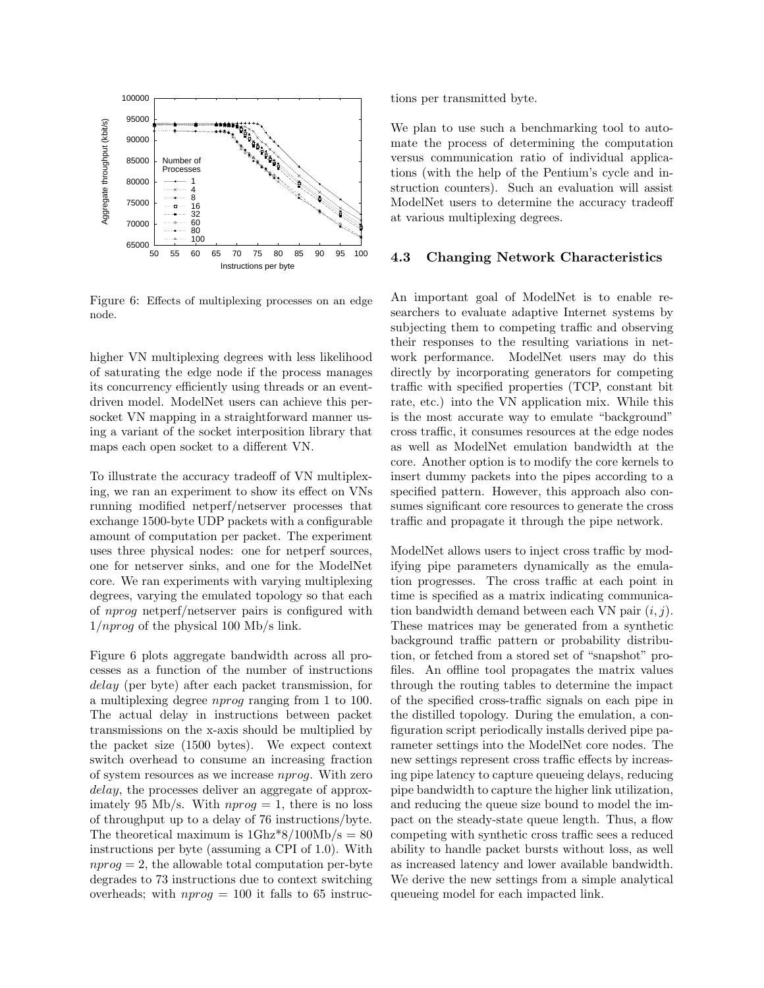

Figure 6: Effects of multiplexing processes on an edge node.

higher VN multiplexing degrees with less likelihood of saturating the edge node if the process manages its concurrency efficiently using threads or an eventdriven model. ModelNet users can achieve this persocket VN mapping in a straightforward manner using a variant of the socket interposition library that maps each open socket to a different VN.

To illustrate the accuracy tradeoff of VN multiplexing, we ran an experiment to show its effect on VNs running modified netperf/netserver processes that exchange 1500-byte UDP packets with a configurable amount of computation per packet. The experiment uses three physical nodes: one for netperf sources, one for netserver sinks, and one for the ModelNet core. We ran experiments with varying multiplexing degrees, varying the emulated topology so that each of nprog netperf/netserver pairs is configured with 1/*nprog* of the physical 100 Mb/s link.

Figure 6 plots aggregate bandwidth across all processes as a function of the number of instructions delay (per byte) after each packet transmission, for a multiplexing degree nprog ranging from 1 to 100. The actual delay in instructions between packet transmissions on the x-axis should be multiplied by the packet size (1500 bytes). We expect context switch overhead to consume an increasing fraction of system resources as we increase nprog. With zero delay, the processes deliver an aggregate of approximately 95 Mb/s. With  $nprog = 1$ , there is no loss of throughput up to a delay of 76 instructions/byte. The theoretical maximum is  $1\text{Ghz*8}/100\text{Mb/s} = 80$ instructions per byte (assuming a CPI of 1.0). With  $nprog = 2$ , the allowable total computation per-byte degrades to 73 instructions due to context switching overheads; with  $nprog = 100$  it falls to 65 instructions per transmitted byte.

We plan to use such a benchmarking tool to automate the process of determining the computation versus communication ratio of individual applications (with the help of the Pentium's cycle and instruction counters). Such an evaluation will assist ModelNet users to determine the accuracy tradeoff at various multiplexing degrees.

#### 4.3 Changing Network Characteristics

An important goal of ModelNet is to enable researchers to evaluate adaptive Internet systems by subjecting them to competing traffic and observing their responses to the resulting variations in network performance. ModelNet users may do this directly by incorporating generators for competing traffic with specified properties (TCP, constant bit rate, etc.) into the VN application mix. While this is the most accurate way to emulate "background" cross traffic, it consumes resources at the edge nodes as well as ModelNet emulation bandwidth at the core. Another option is to modify the core kernels to insert dummy packets into the pipes according to a specified pattern. However, this approach also consumes significant core resources to generate the cross traffic and propagate it through the pipe network.

ModelNet allows users to inject cross traffic by modifying pipe parameters dynamically as the emulation progresses. The cross traffic at each point in time is specified as a matrix indicating communication bandwidth demand between each VN pair  $(i, j)$ . These matrices may be generated from a synthetic background traffic pattern or probability distribution, or fetched from a stored set of "snapshot" profiles. An offline tool propagates the matrix values through the routing tables to determine the impact of the specified cross-traffic signals on each pipe in the distilled topology. During the emulation, a configuration script periodically installs derived pipe parameter settings into the ModelNet core nodes. The new settings represent cross traffic effects by increasing pipe latency to capture queueing delays, reducing pipe bandwidth to capture the higher link utilization, and reducing the queue size bound to model the impact on the steady-state queue length. Thus, a flow competing with synthetic cross traffic sees a reduced ability to handle packet bursts without loss, as well as increased latency and lower available bandwidth. We derive the new settings from a simple analytical queueing model for each impacted link.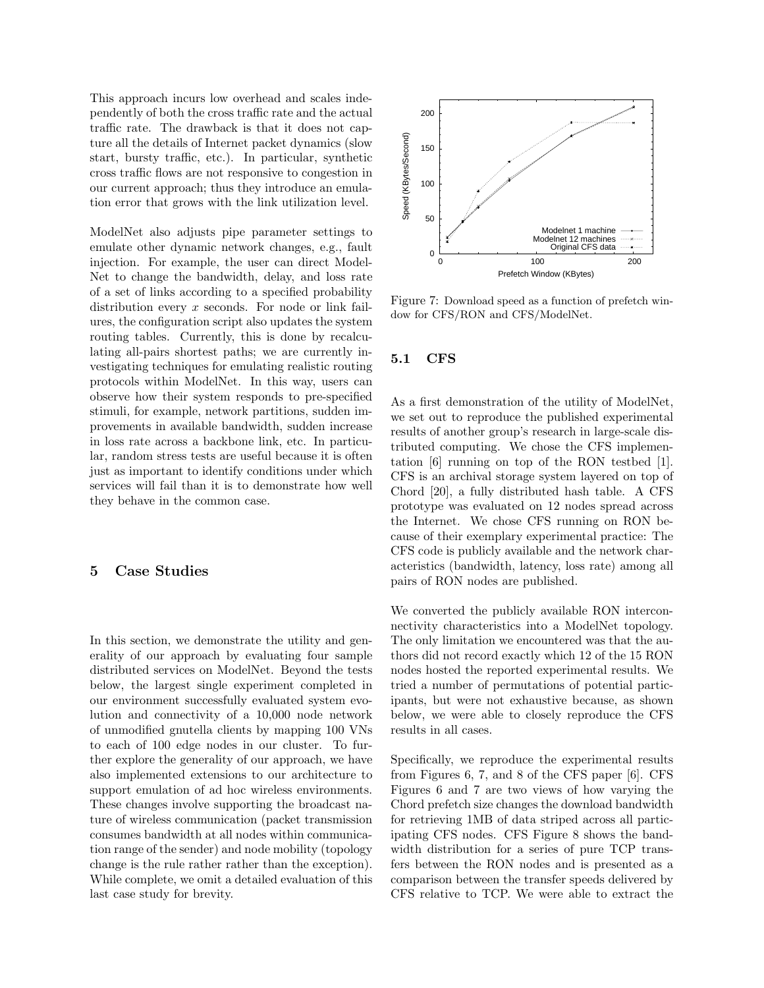This approach incurs low overhead and scales independently of both the cross traffic rate and the actual traffic rate. The drawback is that it does not capture all the details of Internet packet dynamics (slow start, bursty traffic, etc.). In particular, synthetic cross traffic flows are not responsive to congestion in our current approach; thus they introduce an emulation error that grows with the link utilization level.

ModelNet also adjusts pipe parameter settings to emulate other dynamic network changes, e.g., fault injection. For example, the user can direct Model-Net to change the bandwidth, delay, and loss rate of a set of links according to a specified probability distribution every  $x$  seconds. For node or link failures, the configuration script also updates the system routing tables. Currently, this is done by recalculating all-pairs shortest paths; we are currently investigating techniques for emulating realistic routing protocols within ModelNet. In this way, users can observe how their system responds to pre-specified stimuli, for example, network partitions, sudden improvements in available bandwidth, sudden increase in loss rate across a backbone link, etc. In particular, random stress tests are useful because it is often just as important to identify conditions under which services will fail than it is to demonstrate how well they behave in the common case.

## 5 Case Studies

In this section, we demonstrate the utility and generality of our approach by evaluating four sample distributed services on ModelNet. Beyond the tests below, the largest single experiment completed in our environment successfully evaluated system evolution and connectivity of a 10,000 node network of unmodified gnutella clients by mapping 100 VNs to each of 100 edge nodes in our cluster. To further explore the generality of our approach, we have also implemented extensions to our architecture to support emulation of ad hoc wireless environments. These changes involve supporting the broadcast nature of wireless communication (packet transmission consumes bandwidth at all nodes within communication range of the sender) and node mobility (topology change is the rule rather rather than the exception). While complete, we omit a detailed evaluation of this last case study for brevity.



Figure 7: Download speed as a function of prefetch window for CFS/RON and CFS/ModelNet.

#### 5.1 CFS

As a first demonstration of the utility of ModelNet, we set out to reproduce the published experimental results of another group's research in large-scale distributed computing. We chose the CFS implementation [6] running on top of the RON testbed [1]. CFS is an archival storage system layered on top of Chord [20], a fully distributed hash table. A CFS prototype was evaluated on 12 nodes spread across the Internet. We chose CFS running on RON because of their exemplary experimental practice: The CFS code is publicly available and the network characteristics (bandwidth, latency, loss rate) among all pairs of RON nodes are published.

We converted the publicly available RON interconnectivity characteristics into a ModelNet topology. The only limitation we encountered was that the authors did not record exactly which 12 of the 15 RON nodes hosted the reported experimental results. We tried a number of permutations of potential participants, but were not exhaustive because, as shown below, we were able to closely reproduce the CFS results in all cases.

Specifically, we reproduce the experimental results from Figures 6, 7, and 8 of the CFS paper [6]. CFS Figures 6 and 7 are two views of how varying the Chord prefetch size changes the download bandwidth for retrieving 1MB of data striped across all participating CFS nodes. CFS Figure 8 shows the bandwidth distribution for a series of pure TCP transfers between the RON nodes and is presented as a comparison between the transfer speeds delivered by CFS relative to TCP. We were able to extract the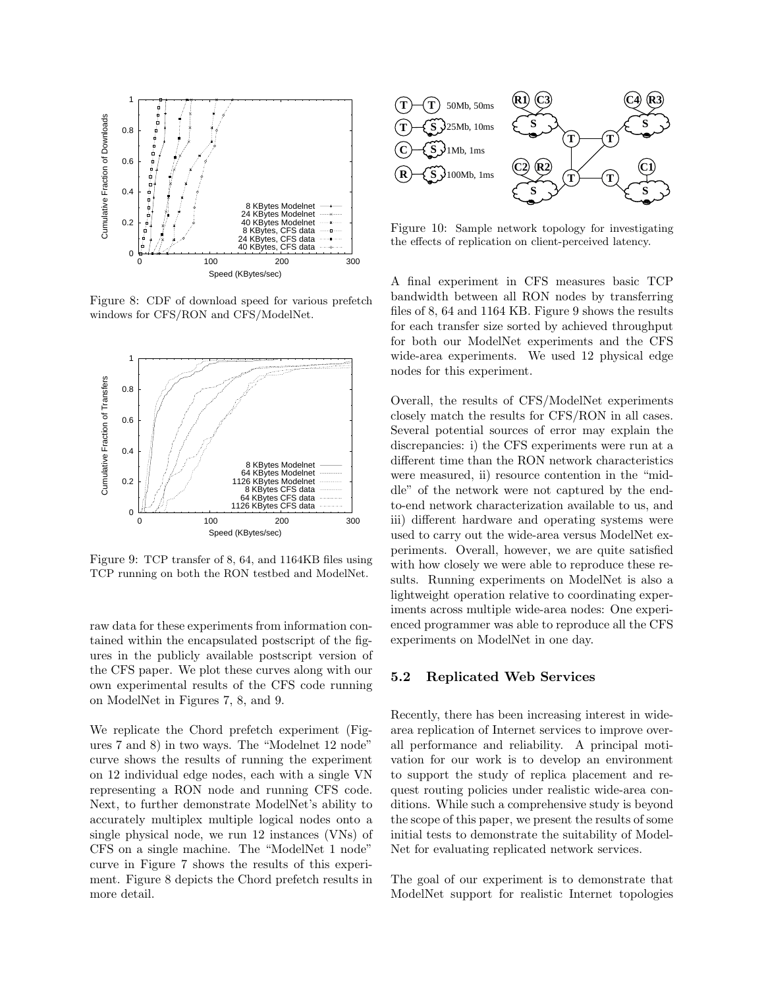

Figure 8: CDF of download speed for various prefetch windows for CFS/RON and CFS/ModelNet.



Figure 9: TCP transfer of 8, 64, and 1164KB files using TCP running on both the RON testbed and ModelNet.

raw data for these experiments from information contained within the encapsulated postscript of the figures in the publicly available postscript version of the CFS paper. We plot these curves along with our own experimental results of the CFS code running on ModelNet in Figures 7, 8, and 9.

We replicate the Chord prefetch experiment (Figures 7 and 8) in two ways. The "Modelnet 12 node" curve shows the results of running the experiment on 12 individual edge nodes, each with a single VN representing a RON node and running CFS code. Next, to further demonstrate ModelNet's ability to accurately multiplex multiple logical nodes onto a single physical node, we run 12 instances (VNs) of CFS on a single machine. The "ModelNet 1 node" curve in Figure 7 shows the results of this experiment. Figure 8 depicts the Chord prefetch results in more detail.



Figure 10: Sample network topology for investigating the effects of replication on client-perceived latency.

A final experiment in CFS measures basic TCP bandwidth between all RON nodes by transferring files of 8, 64 and 1164 KB. Figure 9 shows the results for each transfer size sorted by achieved throughput for both our ModelNet experiments and the CFS wide-area experiments. We used 12 physical edge nodes for this experiment.

Overall, the results of CFS/ModelNet experiments closely match the results for CFS/RON in all cases. Several potential sources of error may explain the discrepancies: i) the CFS experiments were run at a different time than the RON network characteristics were measured, ii) resource contention in the "middle" of the network were not captured by the endto-end network characterization available to us, and iii) different hardware and operating systems were used to carry out the wide-area versus ModelNet experiments. Overall, however, we are quite satisfied with how closely we were able to reproduce these results. Running experiments on ModelNet is also a lightweight operation relative to coordinating experiments across multiple wide-area nodes: One experienced programmer was able to reproduce all the CFS experiments on ModelNet in one day.

## 5.2 Replicated Web Services

Recently, there has been increasing interest in widearea replication of Internet services to improve overall performance and reliability. A principal motivation for our work is to develop an environment to support the study of replica placement and request routing policies under realistic wide-area conditions. While such a comprehensive study is beyond the scope of this paper, we present the results of some initial tests to demonstrate the suitability of Model-Net for evaluating replicated network services.

The goal of our experiment is to demonstrate that ModelNet support for realistic Internet topologies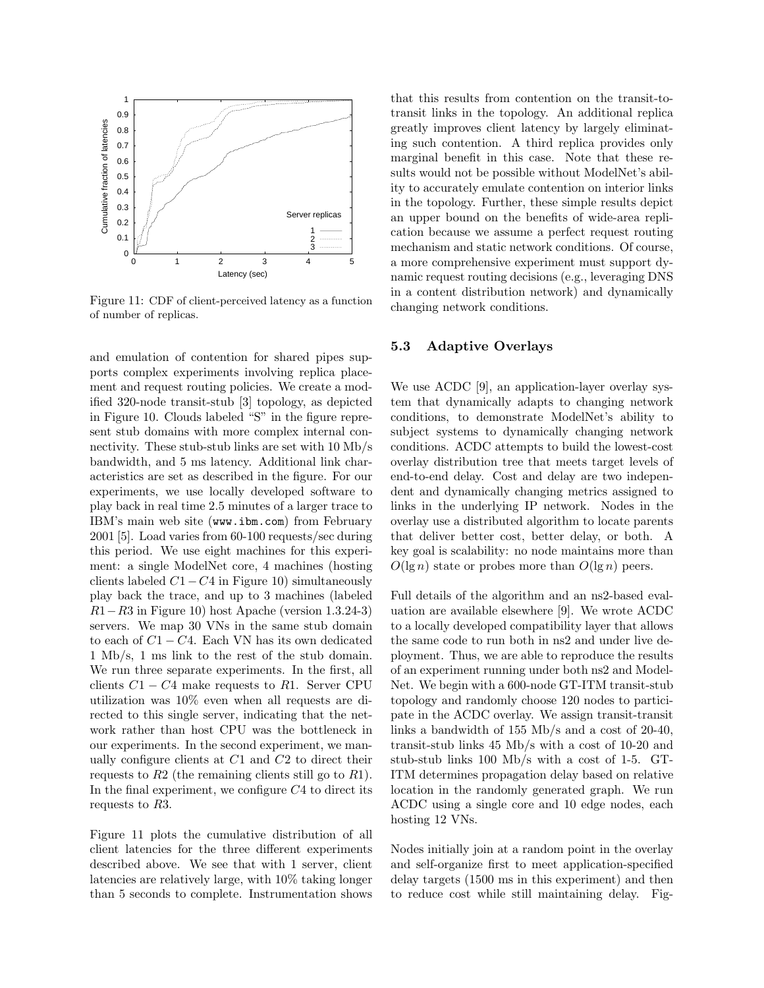

Figure 11: CDF of client-perceived latency as a function of number of replicas.

and emulation of contention for shared pipes supports complex experiments involving replica placement and request routing policies. We create a modified 320-node transit-stub [3] topology, as depicted in Figure 10. Clouds labeled "S" in the figure represent stub domains with more complex internal connectivity. These stub-stub links are set with 10 Mb/s bandwidth, and 5 ms latency. Additional link characteristics are set as described in the figure. For our experiments, we use locally developed software to play back in real time 2.5 minutes of a larger trace to IBM's main web site (www.ibm.com) from February 2001 [5]. Load varies from 60-100 requests/sec during this period. We use eight machines for this experiment: a single ModelNet core, 4 machines (hosting clients labeled  $C1-C4$  in Figure 10) simultaneously play back the trace, and up to 3 machines (labeled R1−R3 in Figure 10) host Apache (version 1.3.24-3) servers. We map 30 VNs in the same stub domain to each of  $C1 - C4$ . Each VN has its own dedicated 1 Mb/s, 1 ms link to the rest of the stub domain. We run three separate experiments. In the first, all clients  $C1 - C4$  make requests to R1. Server CPU utilization was 10% even when all requests are directed to this single server, indicating that the network rather than host CPU was the bottleneck in our experiments. In the second experiment, we manually configure clients at C1 and C2 to direct their requests to  $R2$  (the remaining clients still go to  $R1$ ). In the final experiment, we configure  $C<sub>4</sub>$  to direct its requests to R3.

Figure 11 plots the cumulative distribution of all client latencies for the three different experiments described above. We see that with 1 server, client latencies are relatively large, with 10% taking longer than 5 seconds to complete. Instrumentation shows

that this results from contention on the transit-totransit links in the topology. An additional replica greatly improves client latency by largely eliminating such contention. A third replica provides only marginal benefit in this case. Note that these results would not be possible without ModelNet's ability to accurately emulate contention on interior links in the topology. Further, these simple results depict an upper bound on the benefits of wide-area replication because we assume a perfect request routing mechanism and static network conditions. Of course, a more comprehensive experiment must support dynamic request routing decisions (e.g., leveraging DNS in a content distribution network) and dynamically changing network conditions.

## 5.3 Adaptive Overlays

We use ACDC [9], an application-layer overlay system that dynamically adapts to changing network conditions, to demonstrate ModelNet's ability to subject systems to dynamically changing network conditions. ACDC attempts to build the lowest-cost overlay distribution tree that meets target levels of end-to-end delay. Cost and delay are two independent and dynamically changing metrics assigned to links in the underlying IP network. Nodes in the overlay use a distributed algorithm to locate parents that deliver better cost, better delay, or both. A key goal is scalability: no node maintains more than  $O(\lg n)$  state or probes more than  $O(\lg n)$  peers.

Full details of the algorithm and an ns2-based evaluation are available elsewhere [9]. We wrote ACDC to a locally developed compatibility layer that allows the same code to run both in ns2 and under live deployment. Thus, we are able to reproduce the results of an experiment running under both ns2 and Model-Net. We begin with a 600-node GT-ITM transit-stub topology and randomly choose 120 nodes to participate in the ACDC overlay. We assign transit-transit links a bandwidth of 155 Mb/s and a cost of 20-40, transit-stub links 45 Mb/s with a cost of 10-20 and stub-stub links 100 Mb/s with a cost of 1-5. GT-ITM determines propagation delay based on relative location in the randomly generated graph. We run ACDC using a single core and 10 edge nodes, each hosting 12 VNs.

Nodes initially join at a random point in the overlay and self-organize first to meet application-specified delay targets (1500 ms in this experiment) and then to reduce cost while still maintaining delay. Fig-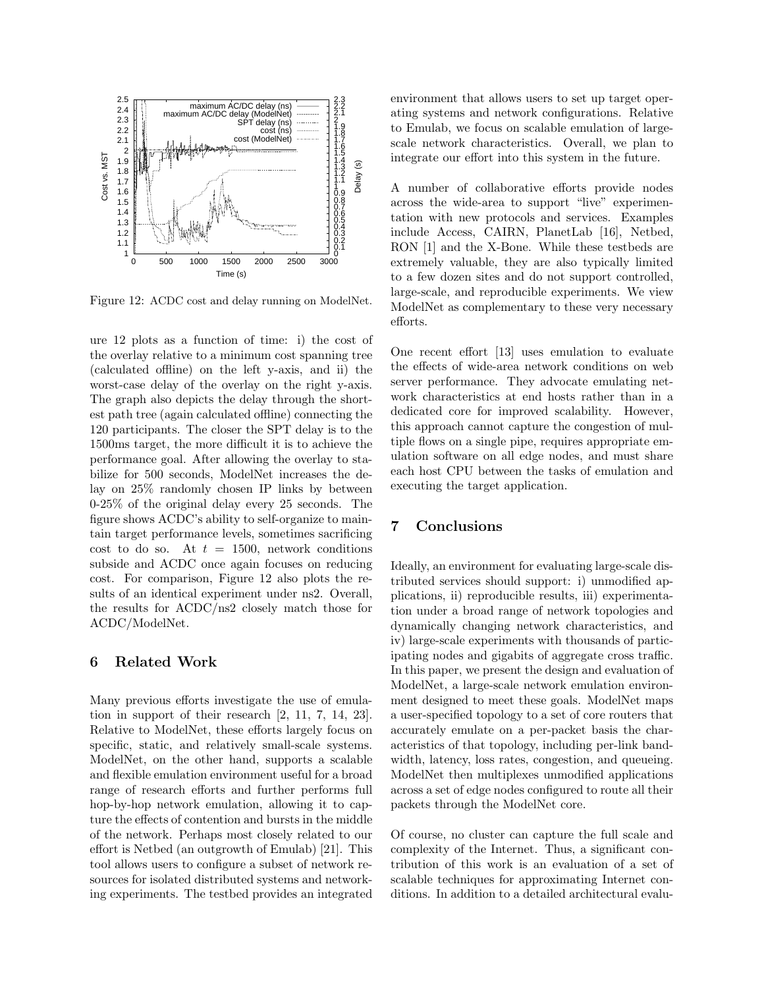

Figure 12: ACDC cost and delay running on ModelNet.

ure 12 plots as a function of time: i) the cost of the overlay relative to a minimum cost spanning tree (calculated offline) on the left y-axis, and ii) the worst-case delay of the overlay on the right y-axis. The graph also depicts the delay through the shortest path tree (again calculated offline) connecting the 120 participants. The closer the SPT delay is to the 1500ms target, the more difficult it is to achieve the performance goal. After allowing the overlay to stabilize for 500 seconds, ModelNet increases the delay on 25% randomly chosen IP links by between 0-25% of the original delay every 25 seconds. The figure shows ACDC's ability to self-organize to maintain target performance levels, sometimes sacrificing cost to do so. At  $t = 1500$ , network conditions subside and ACDC once again focuses on reducing cost. For comparison, Figure 12 also plots the results of an identical experiment under ns2. Overall, the results for ACDC/ns2 closely match those for ACDC/ModelNet.

## 6 Related Work

Many previous efforts investigate the use of emulation in support of their research [2, 11, 7, 14, 23]. Relative to ModelNet, these efforts largely focus on specific, static, and relatively small-scale systems. ModelNet, on the other hand, supports a scalable and flexible emulation environment useful for a broad range of research efforts and further performs full hop-by-hop network emulation, allowing it to capture the effects of contention and bursts in the middle of the network. Perhaps most closely related to our effort is Netbed (an outgrowth of Emulab) [21]. This tool allows users to configure a subset of network resources for isolated distributed systems and networking experiments. The testbed provides an integrated

environment that allows users to set up target operating systems and network configurations. Relative to Emulab, we focus on scalable emulation of largescale network characteristics. Overall, we plan to integrate our effort into this system in the future.

A number of collaborative efforts provide nodes across the wide-area to support "live" experimentation with new protocols and services. Examples include Access, CAIRN, PlanetLab [16], Netbed, RON [1] and the X-Bone. While these testbeds are extremely valuable, they are also typically limited to a few dozen sites and do not support controlled, large-scale, and reproducible experiments. We view ModelNet as complementary to these very necessary efforts.

One recent effort [13] uses emulation to evaluate the effects of wide-area network conditions on web server performance. They advocate emulating network characteristics at end hosts rather than in a dedicated core for improved scalability. However, this approach cannot capture the congestion of multiple flows on a single pipe, requires appropriate emulation software on all edge nodes, and must share each host CPU between the tasks of emulation and executing the target application.

# 7 Conclusions

Ideally, an environment for evaluating large-scale distributed services should support: i) unmodified applications, ii) reproducible results, iii) experimentation under a broad range of network topologies and dynamically changing network characteristics, and iv) large-scale experiments with thousands of participating nodes and gigabits of aggregate cross traffic. In this paper, we present the design and evaluation of ModelNet, a large-scale network emulation environment designed to meet these goals. ModelNet maps a user-specified topology to a set of core routers that accurately emulate on a per-packet basis the characteristics of that topology, including per-link bandwidth, latency, loss rates, congestion, and queueing. ModelNet then multiplexes unmodified applications across a set of edge nodes configured to route all their packets through the ModelNet core.

Of course, no cluster can capture the full scale and complexity of the Internet. Thus, a significant contribution of this work is an evaluation of a set of scalable techniques for approximating Internet conditions. In addition to a detailed architectural evalu